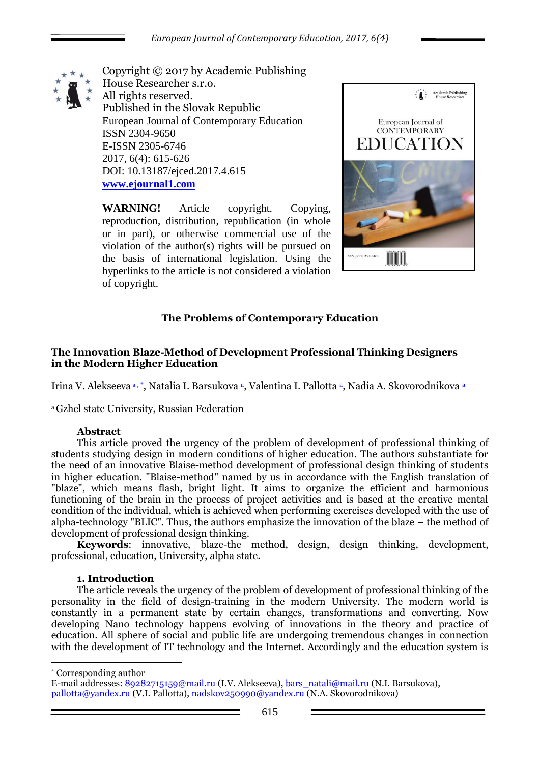

Copyright © 2017 by Academic Publishing House Researcher s.r.o. All rights reserved. Published in the Slovak Republic European Journal of Contemporary Education ISSN 2304-9650 E-ISSN 2305-6746 2017, 6(4): 615-626 DOI: 10.13187/ejced.2017.4.615 **[www.ejournal1.com](http://www.ejournal1.com/)**

**WARNING!** Article copyright. Copying, reproduction, distribution, republication (in whole or in part), or otherwise commercial use of the violation of the author(s) rights will be pursued on the basis of international legislation. Using the hyperlinks to the article is not considered a violation of copyright.



# **The Problems of Contemporary Education**

#### **The Innovation Blaze-Method of Development Professional Thinking Designers in the Modern Higher Education**

Irina V. Alekseeva a, \*, Natalia I. Barsukova a, Valentina I. Pallotta a, Nadia A. Skovorodnikova a

<sup>a</sup>Gzhel state University, Russian Federation

#### **Abstract**

This article proved the urgency of the problem of development of professional thinking of students studying design in modern conditions of higher education. The authors substantiate for the need of an innovative Blaise-method development of professional design thinking of students in higher education. "Blaise-method" named by us in accordance with the English translation of "blaze", which means flash, bright light. It aims to organize the efficient and harmonious functioning of the brain in the process of project activities and is based at the creative mental condition of the individual, which is achieved when performing exercises developed with the use of alpha-technology "BLIC". Thus, the authors emphasize the innovation of the blaze – the method of development of professional design thinking.

**Keywords**: innovative, blaze-the method, design, design thinking, development, professional, education, University, alpha state.

#### **1. Introduction**

The article reveals the urgency of the problem of development of professional thinking of the personality in the field of design-training in the modern University. The modern world is constantly in a permanent state by certain changes, transformations and converting. Now developing Nano technology happens evolving of innovations in the theory and practice of education. All sphere of social and public life are undergoing tremendous changes in connection with the development of IT technology and the Internet. Accordingly and the education system is

\* Corresponding author

1

E-mail addresses: 89282715159@mail.ru (I.V. Alekseeva), bars\_natali@mail.ru (N.I. Barsukova), pallotta@yandex.ru (V.I. Pallotta), nadskov250990@yandex.ru (N.A. Skovorodnikova)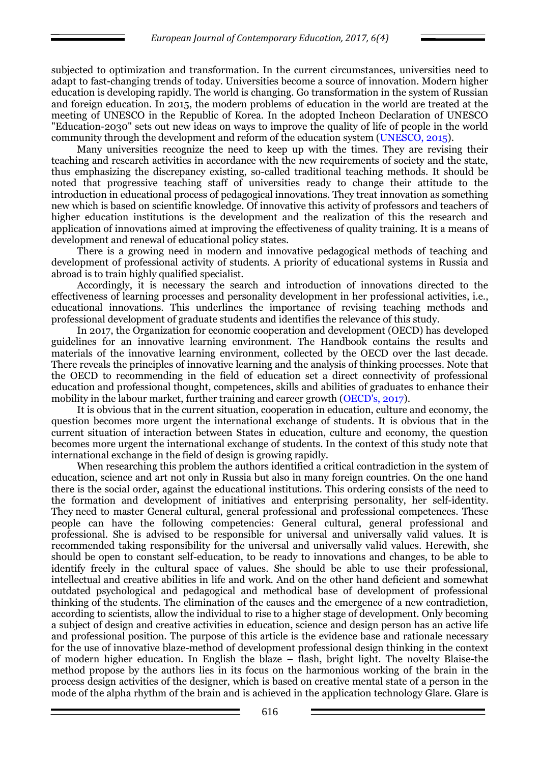subjected to optimization and transformation. In the current circumstances, universities need to adapt to fast-changing trends of today. Universities become a source of innovation. Modern higher education is developing rapidly. The world is changing. Go transformation in the system of Russian and foreign education. In 2015, the modern problems of education in the world are treated at the meeting of UNESCO in the Republic of Korea. In the adopted Incheon Declaration of UNESCO "Education-2030" sets out new ideas on ways to improve the quality of life of people in the world community through the development and reform of the education system (UNESCO, 2015).

Many universities recognize the need to keep up with the times. They are revising their teaching and research activities in accordance with the new requirements of society and the state, thus emphasizing the discrepancy existing, so-called traditional teaching methods. It should be noted that progressive teaching staff of universities ready to change their attitude to the introduction in educational process of pedagogical innovations. They treat innovation as something new which is based on scientific knowledge. Of innovative this activity of professors and teachers of higher education institutions is the development and the realization of this the research and application of innovations aimed at improving the effectiveness of quality training. It is a means of development and renewal of educational policy states.

There is a growing need in modern and innovative pedagogical methods of teaching and development of professional activity of students. A priority of educational systems in Russia and abroad is to train highly qualified specialist.

Accordingly, it is necessary the search and introduction of innovations directed to the effectiveness of learning processes and personality development in her professional activities, i.e., educational innovations. This underlines the importance of revising teaching methods and professional development of graduate students and identifies the relevance of this study.

In 2017, the Organization for economic cooperation and development (OECD) has developed guidelines for an innovative learning environment. The Handbook contains the results and materials of the innovative learning environment, collected by the OECD over the last decade. There reveals the principles of innovative learning and the analysis of thinking processes. Note that the OECD to recommending in the field of education set a direct connectivity of professional education and professional thought, competences, skills and abilities of graduates to enhance their mobility in the labour market, further training and career growth (OECD's, 2017).

It is obvious that in the current situation, cooperation in education, culture and economy, the question becomes more urgent the international exchange of students. It is obvious that in the current situation of interaction between States in education, culture and economy, the question becomes more urgent the international exchange of students. In the context of this study note that international exchange in the field of design is growing rapidly.

When researching this problem the authors identified a critical contradiction in the system of education, science and art not only in Russia but also in many foreign countries. On the one hand there is the social order, against the educational institutions. This ordering consists of the need to the formation and development of initiatives and enterprising personality, her self-identity. They need to master General cultural, general professional and professional competences. These people can have the following competencies: General cultural, general professional and professional. She is advised to be responsible for universal and universally valid values. It is recommended taking responsibility for the universal and universally valid values. Herewith, she should be open to constant self-education, to be ready to innovations and changes, to be able to identify freely in the cultural space of values. She should be able to use their professional, intellectual and creative abilities in life and work. And on the other hand deficient and somewhat outdated psychological and pedagogical and methodical base of development of professional thinking of the students. The elimination of the causes and the emergence of a new contradiction, according to scientists, allow the individual to rise to a higher stage of development. Only becoming a subject of design and creative activities in education, science and design person has an active life and professional position. The purpose of this article is the evidence base and rationale necessary for the use of innovative blaze-method of development professional design thinking in the context of modern higher education. In English the blaze – flash, bright light. The novelty Blaise-the method propose by the authors lies in its focus on the harmonious working of the brain in the process design activities of the designer, which is based on creative mental state of a person in the mode of the alpha rhythm of the brain and is achieved in the application technology Glare. Glare is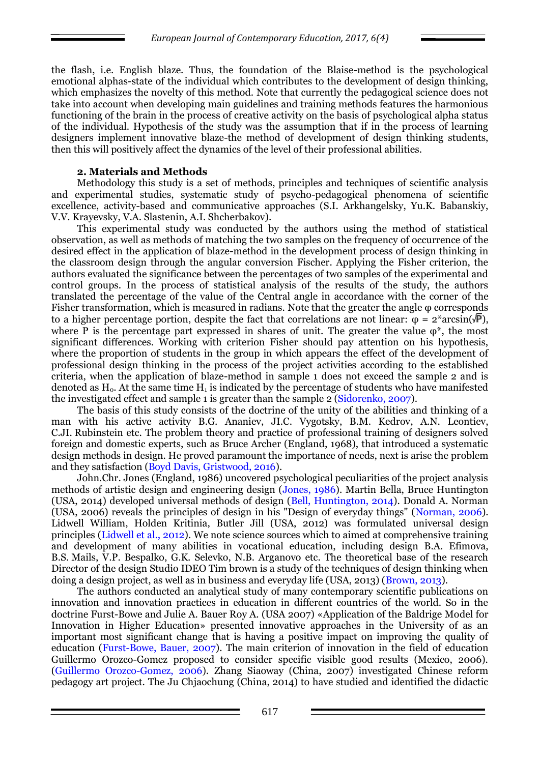the flash, i.e. English blaze. Thus, the foundation of the Blaise-method is the psychological emotional alphas-state of the individual which contributes to the development of design thinking, which emphasizes the novelty of this method. Note that currently the pedagogical science does not take into account when developing main guidelines and training methods features the harmonious functioning of the brain in the process of creative activity on the basis of psychological alpha status of the individual. Hypothesis of the study was the assumption that if in the process of learning designers implement innovative blaze-the method of development of design thinking students, then this will positively affect the dynamics of the level of their professional abilities.

## **2. Materials and Methods**

Methodology this study is a set of methods, principles and techniques of scientific analysis and experimental studies, systematic study of psycho-pedagogical phenomena of scientific excellence, activity-based and communicative approaches (S.I. Arkhangelsky, Yu.K. Babanskiy, V.V. Krayevsky, V.A. Slastenin, A.I. Shcherbakov).

This experimental study was conducted by the authors using the method of statistical observation, as well as methods of matching the two samples on the frequency of occurrence of the desired effect in the application of blaze-method in the development process of design thinking in the classroom design through the angular conversion Fischer. Applying the Fisher criterion, the authors evaluated the significance between the percentages of two samples of the experimental and control groups. In the process of statistical analysis of the results of the study, the authors translated the percentage of the value of the Central angle in accordance with the corner of the Fisher transformation, which is measured in radians. Note that the greater the angle φ corresponds to a higher percentage portion, despite the fact that correlations are not linear:  $\varphi = 2^* \arcsin(\sqrt{P})$ . where P is the percentage part expressed in shares of unit. The greater the value  $\varphi^*$ , the most significant differences. Working with criterion Fisher should pay attention on his hypothesis, where the proportion of students in the group in which appears the effect of the development of professional design thinking in the process of the project activities according to the established criteria, when the application of blaze-method in sample 1 does not exceed the sample 2 and is denoted as  $H_0$ . At the same time  $H_1$  is indicated by the percentage of students who have manifested the investigated effect and sample 1 is greater than the sample 2 (Sidorenko, 2007).

The basis of this study consists of the doctrine of the unity of the abilities and thinking of a man with his active activity B.G. Ananiev, JI.C. Vygotsky, B.M. Kedrov, A.N. Leontiev, C.JI. Rubinstein etc. The problem theory and practice of professional training of designers solved foreign and domestic experts, such as Bruce Archer (England, 1968), that introduced a systematic design methods in design. He proved paramount the importance of needs, next is arise the problem and they satisfaction (Boyd Davis, Gristwood, 2016).

John.Chr. Jones (England, 1986) uncovered psychological peculiarities of the project analysis methods of artistic design and engineering design (Jones, 1986). Martin Bella, Bruce Huntington (USA, 2014) developed universal methods of design (Bell, Huntington, 2014). Donald A. Norman (USA, 2006) reveals the principles of design in his "Design of everyday things" (Norman, 2006). Lidwell William, Holden Kritinia, Butler Jill (USA, 2012) was formulated universal design principles (Lidwell et al., 2012). We note science sources which to aimed at comprehensive training and development of many abilities in vocational education, including design B.A. Efimova, B.S. Mails, V.P. Bespalko, G.K. Selevko, N.B. Arganovo etc. The theoretical base of the research Director of the design Studio IDEO Tim brown is a study of the techniques of design thinking when doing a design project, as well as in business and everyday life (USA, 2013) (Brown, 2013).

The authors conducted an analytical study of many contemporary scientific publications on innovation and innovation practices in education in different countries of the world. So in the doctrine Furst-Bowe and Julie A. Bauer Roy A. (USA 2007) «Application of the Baldrige Model for Innovation in Higher Education» presented innovative approaches in the University of as an important most significant change that is having a positive impact on improving the quality of education (Furst-Bowe, Bauer, 2007). The main criterion of innovation in the field of education Guillermo Orozco-Gomez proposed to consider specific visible good results (Mexico, 2006). (Guillermo Orozco-Gomez, 2006). Zhang Siaoway (China, 2007) investigated Chinese reform pedagogy art project. The Ju Chjaochung (China, 2014) to have studied and identified the didactic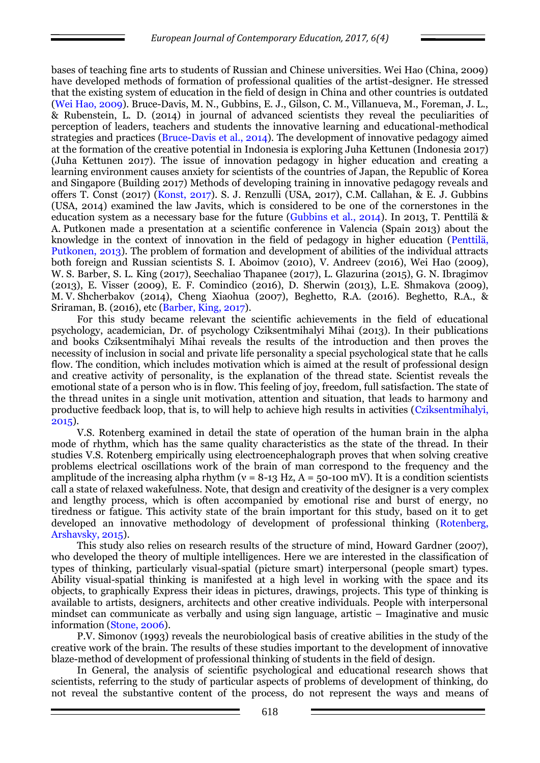bases of teaching fine arts to students of Russian and Chinese universities. Wei Hao (China, 2009) have developed methods of formation of professional qualities of the artist-designer. He stressed that the existing system of education in the field of design in China and other countries is outdated (Wei Hao, 2009). Bruce-Davis, M. N., Gubbins, E. J., Gilson, C. M., Villanueva, M., Foreman, J. L., & Rubenstein, L. D. (2014) in journal of advanced scientists they reveal the peculiarities of perception of leaders, teachers and students the innovative learning and educational-methodical strategies and practices (Bruce-Davis et al., 2014). The development of innovative pedagogy aimed at the formation of the creative potential in Indonesia is exploring Juha Kettunen (Indonesia 2017) (Juha Kettunen 2017). The issue of innovation pedagogy in higher education and creating a learning environment causes anxiety for scientists of the countries of Japan, the Republic of Korea and Singapore (Building 2017) Methods of developing training in innovative pedagogy reveals and offers T. Const (2017) (Konst, 2017). S. J. Renzulli (USA, 2017), C.M. Callahan, & E. J. Gubbins (USA, 2014) examined the law Javits, which is considered to be one of the cornerstones in the education system as a necessary base for the future (Gubbins et al., 2014). In 2013, T. Penttilä & A. Putkonen made a presentation at a scientific conference in Valencia (Spain 2013) about the knowledge in the context of innovation in the field of pedagogy in higher education (Penttilä, Putkonen, 2013). The problem of formation and development of abilities of the individual attracts both foreign and Russian scientists S. I. Aboimov (2010), V. Andreev (2016), Wei Hao (2009), W. S. Barber, S. L. King (2017), Seechaliao Thapanee (2017), L. Glazurina (2015), G. N. Ibragimov (2013), E. Visser (2009), E. F. Comindico (2016), D. Sherwin (2013), L.E. Shmakova (2009), M. V. Shcherbakov (2014), Cheng Xiaohua (2007), Beghetto, R.A. (2016). Beghetto, R.A., & Sriraman, B. (2016), etc (Barber, King, 2017).

For this study became relevant the scientific achievements in the field of educational psychology, academician, Dr. of psychology Cziksentmihalyi Mihai (2013). In their publications and books Cziksentmihalyi Mihai reveals the results of the introduction and then proves the necessity of inclusion in social and private life personality a special psychological state that he calls flow. The condition, which includes motivation which is aimed at the result of professional design and creative activity of personality, is the explanation of the thread state. Scientist reveals the emotional state of a person who is in flow. This feeling of joy, freedom, full satisfaction. The state of the thread unites in a single unit motivation, attention and situation, that leads to harmony and productive feedback loop, that is, to will help to achieve high results in activities (Cziksentmihalyi, 2015).

V.S. Rotenberg examined in detail the state of operation of the human brain in the alpha mode of rhythm, which has the same quality characteristics as the state of the thread. In their studies V.S. Rotenberg empirically using electroencephalograph proves that when solving creative problems electrical oscillations work of the brain of man correspond to the frequency and the amplitude of the increasing alpha rhythm ( $v = 8-13$  Hz,  $A = 50-100$  mV). It is a condition scientists call a state of relaxed wakefulness. Note, that design and creativity of the designer is a very complex and lengthy process, which is often accompanied by emotional rise and burst of energy, no tiredness or fatigue. This activity state of the brain important for this study, based on it to get developed an innovative methodology of development of professional thinking (Rotenberg, Arshavsky, 2015).

This study also relies on research results of the structure of mind, Howard Gardner (2007), who developed the theory of multiple intelligences. Here we are interested in the classification of types of thinking, particularly visual-spatial (picture smart) interpersonal (people smart) types. Ability visual-spatial thinking is manifested at a high level in working with the space and its objects, to graphically Express their ideas in pictures, drawings, projects. This type of thinking is available to artists, designers, architects and other creative individuals. People with interpersonal mindset can communicate as verbally and using sign language, artistic – Imaginative and music information (Stone, 2006).

P.V. Simonov (1993) reveals the neurobiological basis of creative abilities in the study of the creative work of the brain. The results of these studies important to the development of innovative blaze-method of development of professional thinking of students in the field of design.

In General, the analysis of scientific psychological and educational research shows that scientists, referring to the study of particular aspects of problems of development of thinking, do not reveal the substantive content of the process, do not represent the ways and means of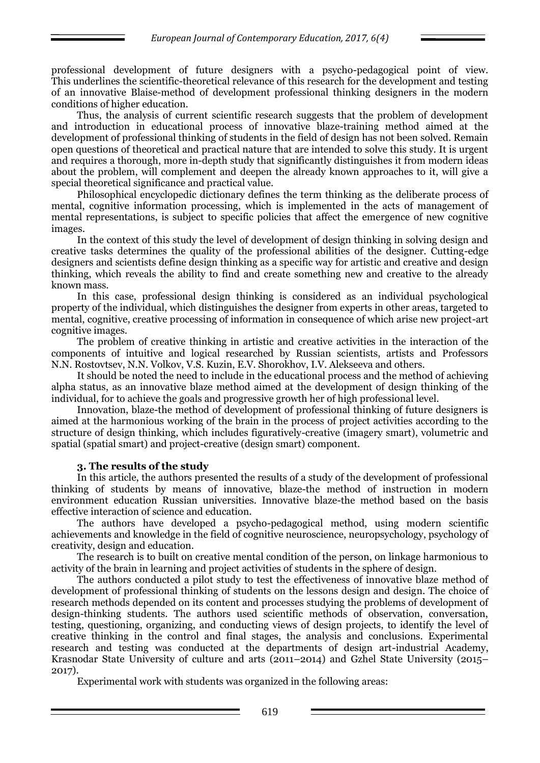professional development of future designers with a psycho-pedagogical point of view. This underlines the scientific-theoretical relevance of this research for the development and testing of an innovative Blaise-method of development professional thinking designers in the modern conditions of higher education.

Thus, the analysis of current scientific research suggests that the problem of development and introduction in educational process of innovative blaze-training method aimed at the development of professional thinking of students in the field of design has not been solved. Remain open questions of theoretical and practical nature that are intended to solve this study. It is urgent and requires a thorough, more in-depth study that significantly distinguishes it from modern ideas about the problem, will complement and deepen the already known approaches to it, will give a special theoretical significance and practical value.

Philosophical encyclopedic dictionary defines the term thinking as the deliberate process of mental, cognitive information processing, which is implemented in the acts of management of mental representations, is subject to specific policies that affect the emergence of new cognitive images.

In the context of this study the level of development of design thinking in solving design and creative tasks determines the quality of the professional abilities of the designer. Cutting-edge designers and scientists define design thinking as a specific way for artistic and creative and design thinking, which reveals the ability to find and create something new and creative to the already known mass.

In this case, professional design thinking is considered as an individual psychological property of the individual, which distinguishes the designer from experts in other areas, targeted to mental, cognitive, creative processing of information in consequence of which arise new project-art cognitive images.

The problem of creative thinking in artistic and creative activities in the interaction of the components of intuitive and logical researched by Russian scientists, artists and Professors N.N. Rostovtsev, N.N. Volkov, V.S. Kuzin, E.V. Shorokhov, I.V. Alekseeva and others.

It should be noted the need to include in the educational process and the method of achieving alpha status, as an innovative blaze method aimed at the development of design thinking of the individual, for to achieve the goals and progressive growth her of high professional level.

Innovation, blaze-the method of development of professional thinking of future designers is aimed at the harmonious working of the brain in the process of project activities according to the structure of design thinking, which includes figuratively-creative (imagery smart), volumetric and spatial (spatial smart) and project-creative (design smart) component.

## **3. The results of the study**

In this article, the authors presented the results of a study of the development of professional thinking of students by means of innovative, blaze-the method of instruction in modern environment education Russian universities. Innovative blaze-the method based on the basis effective interaction of science and education.

The authors have developed a psycho-pedagogical method, using modern scientific achievements and knowledge in the field of cognitive neuroscience, neuropsychology, psychology of creativity, design and education.

The research is to built on creative mental condition of the person, on linkage harmonious to activity of the brain in learning and project activities of students in the sphere of design.

The authors conducted a pilot study to test the effectiveness of innovative blaze method of development of professional thinking of students on the lessons design and design. The choice of research methods depended on its content and processes studying the problems of development of design-thinking students. The authors used scientific methods of observation, conversation, testing, questioning, organizing, and conducting views of design projects, to identify the level of creative thinking in the control and final stages, the analysis and conclusions. Experimental research and testing was conducted at the departments of design art-industrial Academy, Krasnodar State University of culture and arts (2011–2014) and Gzhel State University (2015– 2017).

Experimental work with students was organized in the following areas: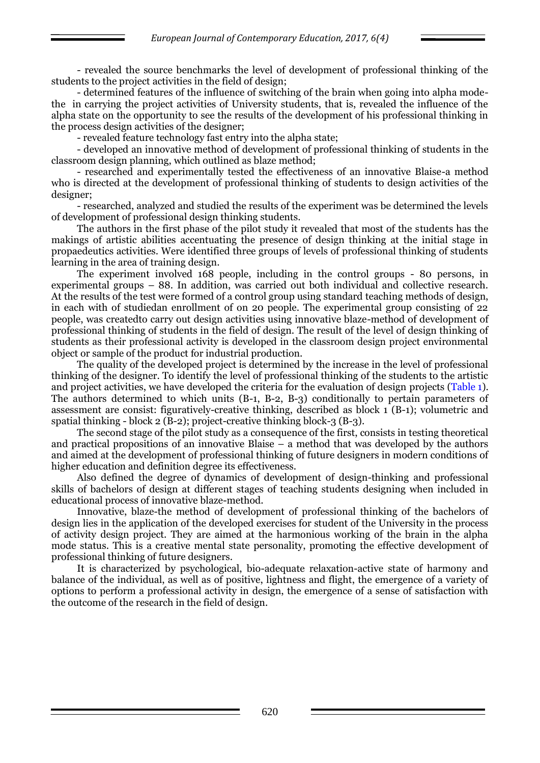- revealed the source benchmarks the level of development of professional thinking of the students to the project activities in the field of design;

- determined features of the influence of switching of the brain when going into alpha modethe in carrying the project activities of University students, that is, revealed the influence of the alpha state on the opportunity to see the results of the development of his professional thinking in the process design activities of the designer;

- revealed feature technology fast entry into the alpha state;

- developed an innovative method of development of professional thinking of students in the classroom design planning, which outlined as blaze method;

- researched and experimentally tested the effectiveness of an innovative Blaise-a method who is directed at the development of professional thinking of students to design activities of the designer;

- researched, analyzed and studied the results of the experiment was be determined the levels of development of professional design thinking students.

The authors in the first phase of the pilot study it revealed that most of the students has the makings of artistic abilities accentuating the presence of design thinking at the initial stage in propaedeutics activities. Were identified three groups of levels of professional thinking of students learning in the area of training design.

The experiment involved 168 people, including in the control groups - 80 persons, in experimental groups – 88. In addition, was carried out both individual and collective research. At the results of the test were formed of a control group using standard teaching methods of design, in each with of studiedan enrollment of on 20 people. The experimental group consisting of 22 people, was createdto carry out design activities using innovative blaze-method of development of professional thinking of students in the field of design. The result of the level of design thinking of students as their professional activity is developed in the classroom design project environmental object or sample of the product for industrial production.

The quality of the developed project is determined by the increase in the level of professional thinking of the designer. To identify the level of professional thinking of the students to the artistic and project activities, we have developed the criteria for the evaluation of design projects (Table 1). The authors determined to which units (B-1, B-2, B-3) conditionally to pertain parameters of assessment are consist: figuratively-creative thinking, described as block 1 (B-1); volumetric and spatial thinking - block  $2 (B-2)$ ; project-creative thinking block-3 (B-3).

The second stage of the pilot study as a consequence of the first, consists in testing theoretical and practical propositions of an innovative Blaise – a method that was developed by the authors and aimed at the development of professional thinking of future designers in modern conditions of higher education and definition degree its effectiveness.

Also defined the degree of dynamics of development of design-thinking and professional skills of bachelors of design at different stages of teaching students designing when included in educational process of innovative blaze-method.

Innovative, blaze-the method of development of professional thinking of the bachelors of design lies in the application of the developed exercises for student of the University in the process of activity design project. They are aimed at the harmonious working of the brain in the alpha mode status. This is a creative mental state personality, promoting the effective development of professional thinking of future designers.

It is characterized by psychological, bio-adequate relaxation-active state of harmony and balance of the individual, as well as of positive, lightness and flight, the emergence of a variety of options to perform a professional activity in design, the emergence of a sense of satisfaction with the outcome of the research in the field of design.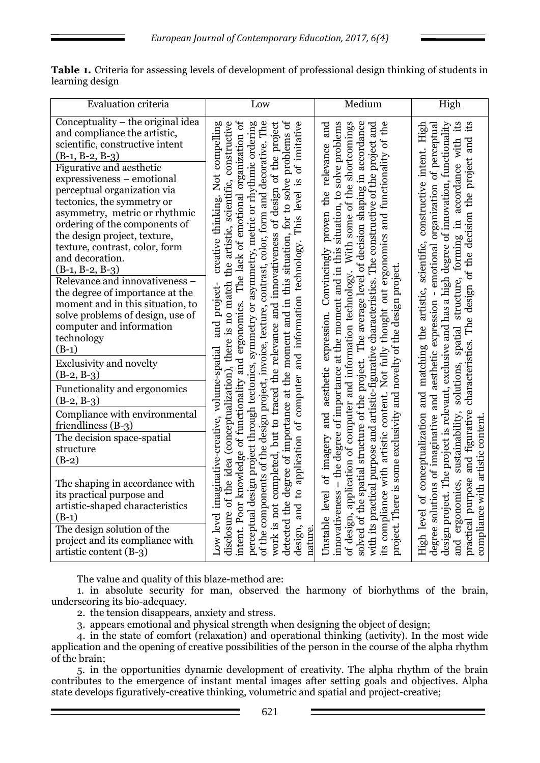| <b>Evaluation criteria</b>                                                                                                                                                                                                                                                                                                                                                                                                                                                                                                                                                                                                     | Low                                                                                                                                                                                                                                                                                                                                                                                                                                                                                                                                                                                                                                                                                                                                                                            | Medium                                                                                                                                                                                                                                                                                                                                                                                                                                                                                                                                                                                                                           | High                                                                                                                                                                                                                                                                                                                                                                                                                                                     |
|--------------------------------------------------------------------------------------------------------------------------------------------------------------------------------------------------------------------------------------------------------------------------------------------------------------------------------------------------------------------------------------------------------------------------------------------------------------------------------------------------------------------------------------------------------------------------------------------------------------------------------|--------------------------------------------------------------------------------------------------------------------------------------------------------------------------------------------------------------------------------------------------------------------------------------------------------------------------------------------------------------------------------------------------------------------------------------------------------------------------------------------------------------------------------------------------------------------------------------------------------------------------------------------------------------------------------------------------------------------------------------------------------------------------------|----------------------------------------------------------------------------------------------------------------------------------------------------------------------------------------------------------------------------------------------------------------------------------------------------------------------------------------------------------------------------------------------------------------------------------------------------------------------------------------------------------------------------------------------------------------------------------------------------------------------------------|----------------------------------------------------------------------------------------------------------------------------------------------------------------------------------------------------------------------------------------------------------------------------------------------------------------------------------------------------------------------------------------------------------------------------------------------------------|
| Conceptuality – the original idea<br>and compliance the artistic,<br>scientific, constructive intent<br>$(B-1, B-2, B-3)$<br>Figurative and aesthetic<br>expressiveness - emotional<br>perceptual organization via<br>tectonics, the symmetry or<br>asymmetry, metric or rhythmic<br>ordering of the components of<br>the design project, texture,<br>texture, contrast, color, form<br>and decoration.<br>$(B-1, B-2, B-3)$<br>Relevance and innovativeness -<br>the degree of importance at the<br>moment and in this situation, to<br>solve problems of design, use of<br>computer and information<br>technology<br>$(B-1)$ | Not compelling<br>disclosure of the idea (conceptualization), there is no match the artistic, scientific, constructive<br>intent. Poor knowledge of functionality and ergonomics. The lack of emotional organization of<br>detected the degree of importance at the moment and in this situation, for to solve problems of<br>perceptual design project through tectonics, symmetry or asymmetry, metric or rhythmic ordering<br>of the components of the design project, invoice, texture, contrast, color, form and decorative. The<br>work is not completed, but to traced the relevance and innovativeness of design of the project<br>design, and to application of computer and information technology. This level is of imitative<br>creative thinking.<br>and project- | structure of the project. The average level of decision shaping in accordance<br>the<br>- the degree of importance at the moment and in this situation, to solve problems<br>With some of the shortcomings<br>and<br>with its practical purpose and artistic-figurative characteristics. The constructive of the project and<br>its compliance with artistic content. Not fully thought out ergonomics and functionality of<br>the relevance<br>proven<br>Convincingly<br>project. There is some exclusivity and novelty of the design project.<br>of design, application of computer and information technology.<br>expression. | en.<br>its<br>constructive intent. High<br>design project. The project is relevant, exclusive and has a high degree of innovation, functionality<br>degree solutions of imaginative and aesthetic expression - emotional organization of perceptual<br>characteristics. The design of the decision the project and<br>solutions, spatial structure, forming in accordance with<br>High level of conceptualization and matching the artistic, scientific, |
| <b>Exclusivity and novelty</b><br>$(B-2, B-3)$                                                                                                                                                                                                                                                                                                                                                                                                                                                                                                                                                                                 |                                                                                                                                                                                                                                                                                                                                                                                                                                                                                                                                                                                                                                                                                                                                                                                |                                                                                                                                                                                                                                                                                                                                                                                                                                                                                                                                                                                                                                  |                                                                                                                                                                                                                                                                                                                                                                                                                                                          |
| Functionality and ergonomics<br>$(B-2, B-3)$                                                                                                                                                                                                                                                                                                                                                                                                                                                                                                                                                                                   |                                                                                                                                                                                                                                                                                                                                                                                                                                                                                                                                                                                                                                                                                                                                                                                | aesthetic                                                                                                                                                                                                                                                                                                                                                                                                                                                                                                                                                                                                                        |                                                                                                                                                                                                                                                                                                                                                                                                                                                          |
| Compliance with environmental<br>friendliness (B-3)                                                                                                                                                                                                                                                                                                                                                                                                                                                                                                                                                                            |                                                                                                                                                                                                                                                                                                                                                                                                                                                                                                                                                                                                                                                                                                                                                                                | and                                                                                                                                                                                                                                                                                                                                                                                                                                                                                                                                                                                                                              |                                                                                                                                                                                                                                                                                                                                                                                                                                                          |
| The decision space-spatial<br>structure<br>$(B-2)$                                                                                                                                                                                                                                                                                                                                                                                                                                                                                                                                                                             |                                                                                                                                                                                                                                                                                                                                                                                                                                                                                                                                                                                                                                                                                                                                                                                | imagery                                                                                                                                                                                                                                                                                                                                                                                                                                                                                                                                                                                                                          |                                                                                                                                                                                                                                                                                                                                                                                                                                                          |
| The shaping in accordance with<br>its practical purpose and<br>artistic-shaped characteristics<br>$(B-1)$                                                                                                                                                                                                                                                                                                                                                                                                                                                                                                                      | Low level imaginative-creative, volume-spatial                                                                                                                                                                                                                                                                                                                                                                                                                                                                                                                                                                                                                                                                                                                                 | solved of the spatial<br>$\sigma$ f<br>innovativeness<br>level                                                                                                                                                                                                                                                                                                                                                                                                                                                                                                                                                                   | and ergonomics, sustainability,<br>practical purpose and figurative<br>compliance with artistic content                                                                                                                                                                                                                                                                                                                                                  |
| The design solution of the<br>project and its compliance with<br>artistic content (B-3)                                                                                                                                                                                                                                                                                                                                                                                                                                                                                                                                        | nature.                                                                                                                                                                                                                                                                                                                                                                                                                                                                                                                                                                                                                                                                                                                                                                        | Unstable                                                                                                                                                                                                                                                                                                                                                                                                                                                                                                                                                                                                                         |                                                                                                                                                                                                                                                                                                                                                                                                                                                          |

**Table 1.** Criteria for assessing levels of development of professional design thinking of students in learning design

The value and quality of this blaze-method are:

1. in absolute security for man, observed the harmony of biorhythms of the brain, underscoring its bio-adequacy.

2. the tension disappears, anxiety and stress.

3. appears emotional and physical strength when designing the object of design;

4. in the state of comfort (relaxation) and operational thinking (activity). In the most wide application and the opening of creative possibilities of the person in the course of the alpha rhythm of the brain;

5. in the opportunities dynamic development of creativity. The alpha rhythm of the brain contributes to the emergence of instant mental images after setting goals and objectives. Alpha state develops figuratively-creative thinking, volumetric and spatial and project-creative;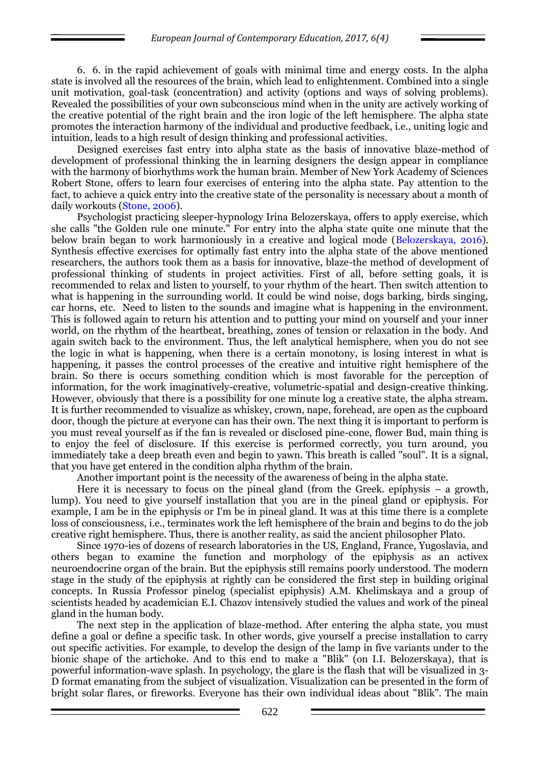6. 6. in the rapid achievement of goals with minimal time and energy costs. In the alpha state is involved all the resources of the brain, which lead to enlightenment. Combined into a single unit motivation, goal-task (concentration) and activity (options and ways of solving problems). Revealed the possibilities of your own subconscious mind when in the unity are actively working of the creative potential of the right brain and the iron logic of the left hemisphere. The alpha state promotes the interaction harmony of the individual and productive feedback, i.e., uniting logic and intuition, leads to a high result of design thinking and professional activities.

Designed exercises fast entry into alpha state as the basis of innovative blaze-method of development of professional thinking the in learning designers the design appear in compliance with the harmony of biorhythms work the human brain. Member of New York Academy of Sciences Robert Stone, offers to learn four exercises of entering into the alpha state. Pay attention to the fact, to achieve a quick entry into the creative state of the personality is necessary about a month of daily workouts (Stone, 2006).

Psychologist practicing sleeper-hypnology Irina Belozerskaya, offers to apply exercise, which she calls "the Golden rule one minute." For entry into the alpha state quite one minute that the below brain began to work harmoniously in a creative and logical mode (Belozerskaya, 2016). Synthesis effective exercises for optimally fast entry into the alpha state of the above mentioned researchers, the authors took them as a basis for innovative, blaze-the method of development of professional thinking of students in project activities. First of all, before setting goals, it is recommended to relax and listen to yourself, to your rhythm of the heart. Then switch attention to what is happening in the surrounding world. It could be wind noise, dogs barking, birds singing, car horns, etc. Need to listen to the sounds and imagine what is happening in the environment. This is followed again to return his attention and to putting your mind on yourself and your inner world, on the rhythm of the heartbeat, breathing, zones of tension or relaxation in the body. And again switch back to the environment. Thus, the left analytical hemisphere, when you do not see the logic in what is happening, when there is a certain monotony, is losing interest in what is happening, it passes the control processes of the creative and intuitive right hemisphere of the brain. So there is occurs something condition which is most favorable for the perception of information, for the work imaginatively-creative, volumetric-spatial and design-creative thinking. However, obviously that there is a possibility for one minute log a creative state, the alpha stream. It is further recommended to visualize as whiskey, crown, nape, forehead, are open as the cupboard door, though the picture at everyone can has their own. The next thing it is important to perform is you must reveal yourself as if the fan is revealed or disclosed pine-cone, flower Bud, main thing is to enjoy the feel of disclosure. If this exercise is performed correctly, you turn around, you immediately take a deep breath even and begin to yawn. This breath is called "soul". It is a signal, that you have get entered in the condition alpha rhythm of the brain.

Another important point is the necessity of the awareness of being in the alpha state.

Here it is necessary to focus on the pineal gland (from the Greek. epíphysis – a growth, lump). You need to give yourself installation that you are in the pineal gland or epiphysis. For example, I am be in the epiphysis or I'm be in pineal gland. It was at this time there is a complete loss of consciousness, i.e., terminates work the left hemisphere of the brain and begins to do the job creative right hemisphere. Thus, there is another reality, as said the ancient philosopher Plato.

Since 1970-ies of dozens of research laboratories in the US, England, France, Yugoslavia, and others began to examine the function and morphology of the epiphysis as an activex neuroendocrine organ of the brain. But the epiphysis still remains poorly understood. The modern stage in the study of the epiphysis at rightly can be considered the first step in building original concepts. In Russia Professor pinelog (specialist epiphysis) A.M. Khelimskaya and a group of scientists headed by academician E.I. Chazov intensively studied the values and work of the pineal gland in the human body.

The next step in the application of blaze-method. After entering the alpha state, you must define a goal or define a specific task. In other words, give yourself a precise installation to carry out specific activities. For example, to develop the design of the lamp in five variants under to the bionic shape of the artichoke. And to this end to make a "Blik" (on I.I. Belozerskaya), that is powerful information-wave splash. In psychology, the glare is the flash that will be visualized in 3- D format emanating from the subject of visualization. Visualization can be presented in the form of bright solar flares, or fireworks. Everyone has their own individual ideas about "Blik". The main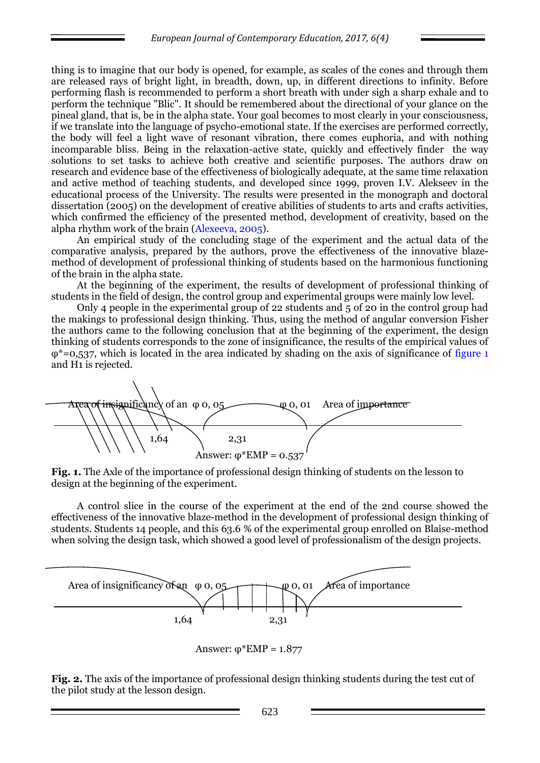thing is to imagine that our body is opened, for example, as scales of the cones and through them are released rays of bright light, in breadth, down, up, in different directions to infinity. Before performing flash is recommended to perform a short breath with under sigh a sharp exhale and to perform the technique "Blic". It should be remembered about the directional of your glance on the pineal gland, that is, be in the alpha state. Your goal becomes to most clearly in your consciousness, if we translate into the language of psycho-emotional state. If the exercises are performed correctly, the body will feel a light wave of resonant vibration, there comes euphoria, and with nothing incomparable bliss. Being in the relaxation-active state, quickly and effectively finder the way solutions to set tasks to achieve both creative and scientific purposes. The authors draw on research and evidence base of the effectiveness of biologically adequate, at the same time relaxation and active method of teaching students, and developed since 1999, proven I.V. Alekseev in the educational process of the University. The results were presented in the monograph and doctoral dissertation (2005) on the development of creative abilities of students to arts and crafts activities, which confirmed the efficiency of the presented method, development of creativity, based on the alpha rhythm work of the brain (Alexeeva, 2005).

An empirical study of the concluding stage of the experiment and the actual data of the comparative analysis, prepared by the authors, prove the effectiveness of the innovative blazemethod of development of professional thinking of students based on the harmonious functioning of the brain in the alpha state.

At the beginning of the experiment, the results of development of professional thinking of students in the field of design, the control group and experimental groups were mainly low level.

Only 4 people in the experimental group of 22 students and 5 of 20 in the control group had the makings to professional design thinking. Thus, using the method of angular conversion Fisher the authors came to the following conclusion that at the beginning of the experiment, the design thinking of students corresponds to the zone of insignificance, the results of the empirical values of  $\omega^*$ =0,537, which is located in the area indicated by shading on the axis of significance of figure 1 and H1 is rejected.



**Fig. 1.** The Axle of the importance of professional design thinking of students on the lesson to design at the beginning of the experiment.

A control slice in the course of the experiment at the end of the 2nd course showed the effectiveness of the innovative blaze-method in the development of professional design thinking of students. Students 14 people, and this 63.6 % of the experimental group enrolled on Blaise-method when solving the design task, which showed a good level of professionalism of the design projects.



Answer:  $φ*EMP = 1.877$ 

**Fig. 2.** The axis of the importance of professional design thinking students during the test cut of the pilot study at the lesson design.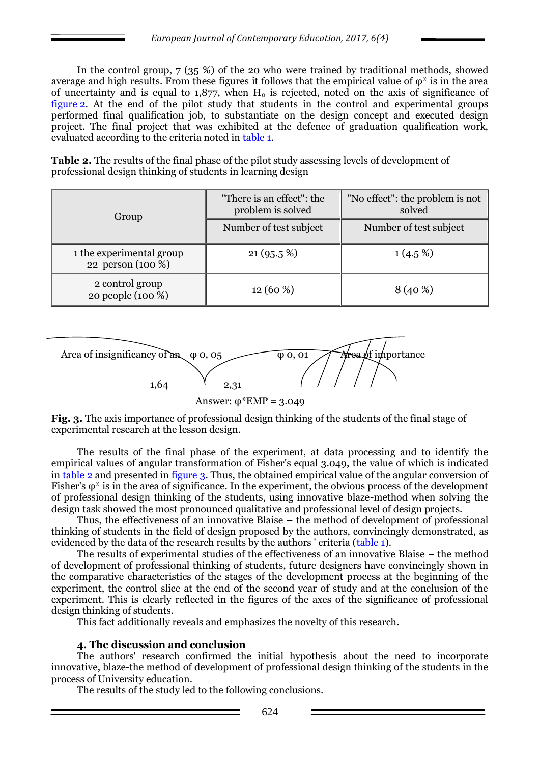In the control group, 7 (35 %) of the 20 who were trained by traditional methods, showed average and high results. From these figures it follows that the empirical value of  $\varphi^*$  is in the area of uncertainty and is equal to  $1,877$ , when  $H_0$  is rejected, noted on the axis of significance of figure 2. At the end of the pilot study that students in the control and experimental groups performed final qualification job, to substantiate on the design concept and executed design project. The final project that was exhibited at the defence of graduation qualification work, evaluated according to the criteria noted in table 1.

**Table 2.** The results of the final phase of the pilot study assessing levels of development of professional design thinking of students in learning design

| Group                                         | "There is an effect": the<br>problem is solved | "No effect": the problem is not<br>solved |
|-----------------------------------------------|------------------------------------------------|-------------------------------------------|
|                                               | Number of test subject                         | Number of test subject                    |
| 1 the experimental group<br>22 person (100 %) | $21(95.5\%)$                                   | $1(4.5\%)$                                |
| 2 control group<br>20 people (100 %)          | $12(60\%)$                                     | $8(40\%)$                                 |



Answer:  $φ*EMP = 3.049$ 

**Fig. 3.** The axis importance of professional design thinking of the students of the final stage of experimental research at the lesson design.

The results of the final phase of the experiment, at data processing and to identify the empirical values of angular transformation of Fisher's equal 3.049, the value of which is indicated in table 2 and presented in figure 3. Thus, the obtained empirical value of the angular conversion of Fisher's  $\varphi^*$  is in the area of significance. In the experiment, the obvious process of the development of professional design thinking of the students, using innovative blaze-method when solving the design task showed the most pronounced qualitative and professional level of design projects.

Thus, the effectiveness of an innovative Blaise – the method of development of professional thinking of students in the field of design proposed by the authors, convincingly demonstrated, as evidenced by the data of the research results by the authors ' criteria (table 1).

The results of experimental studies of the effectiveness of an innovative Blaise – the method of development of professional thinking of students, future designers have convincingly shown in the comparative characteristics of the stages of the development process at the beginning of the experiment, the control slice at the end of the second year of study and at the conclusion of the experiment. This is clearly reflected in the figures of the axes of the significance of professional design thinking of students.

This fact additionally reveals and emphasizes the novelty of this research.

## **4. The discussion and conclusion**

The authors' research confirmed the initial hypothesis about the need to incorporate innovative, blaze-the method of development of professional design thinking of the students in the process of University education.

The results of the study led to the following conclusions.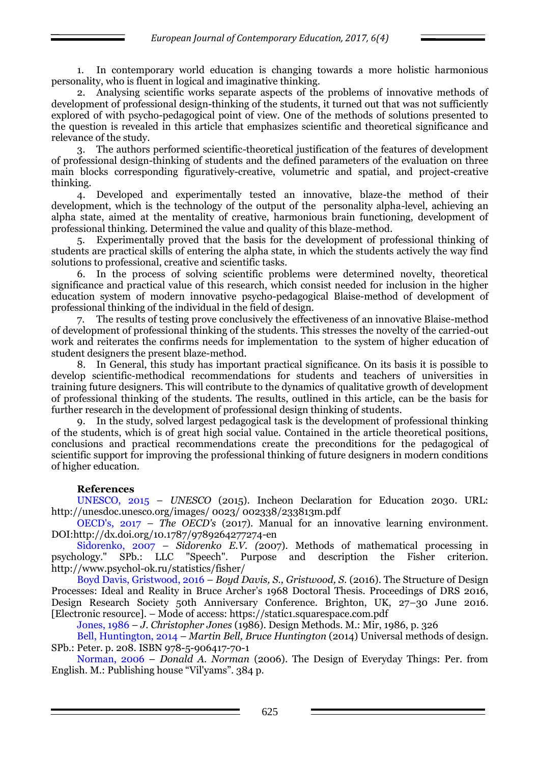1. In contemporary world education is changing towards a more holistic harmonious personality, who is fluent in logical and imaginative thinking.

2. Analysing scientific works separate aspects of the problems of innovative methods of development of professional design-thinking of the students, it turned out that was not sufficiently explored of with psycho-pedagogical point of view. One of the methods of solutions presented to the question is revealed in this article that emphasizes scientific and theoretical significance and relevance of the study.

3. The authors performed scientific-theoretical justification of the features of development of professional design-thinking of students and the defined parameters of the evaluation on three main blocks corresponding figuratively-creative, volumetric and spatial, and project-creative thinking.

4. Developed and experimentally tested an innovative, blaze-the method of their development, which is the technology of the output of the personality alpha-level, achieving an alpha state, aimed at the mentality of creative, harmonious brain functioning, development of professional thinking. Determined the value and quality of this blaze-method.

5. Experimentally proved that the basis for the development of professional thinking of students are practical skills of entering the alpha state, in which the students actively the way find solutions to professional, creative and scientific tasks.

6. In the process of solving scientific problems were determined novelty, theoretical significance and practical value of this research, which consist needed for inclusion in the higher education system of modern innovative psycho-pedagogical Blaise-method of development of professional thinking of the individual in the field of design.

7. The results of testing prove conclusively the effectiveness of an innovative Blaise-method of development of professional thinking of the students. This stresses the novelty of the carried-out work and reiterates the confirms needs for implementation to the system of higher education of student designers the present blaze-method.

8. In General, this study has important practical significance. On its basis it is possible to develop scientific-methodical recommendations for students and teachers of universities in training future designers. This will contribute to the dynamics of qualitative growth of development of professional thinking of the students. The results, outlined in this article, can be the basis for further research in the development of professional design thinking of students.

9. In the study, solved largest pedagogical task is the development of professional thinking of the students, which is of great high social value. Contained in the article theoretical positions, conclusions and practical recommendations create the preconditions for the pedagogical of scientific support for improving the professional thinking of future designers in modern conditions of higher education.

## **References**

UNESCO, 2015 – *UNESCO* (2015). Incheon Declaration for Education 2030. URL: http://unesdoc.unesco.org/images/ 0023/ 002338/233813m.pdf

OECD's, 2017 *– The OECD's* (2017). Manual for an innovative learning environment. DOI:http://dx.doi.org/10.1787/9789264277274-en

Sidorenko, 2007 – *Sidorenko E.V. (*2007). Methods of mathematical processing in psychology." SPb.: LLC "Speech". Purpose and description the Fisher criterion. http://www.psychol-ok.ru/statistics/fisher/

Boyd Davis, Gristwood, 2016 – *Boyd Davis, S., Gristwood, S.* (2016). The Structure of Design Processes: Ideal and Reality in Bruce Archer's 1968 Doctoral Thesis. Proceedings of DRS 2016, Design Research Society 50th Anniversary Conference. Brighton, UK, 27–30 June 2016. [Electronic resource]. – Mode of access: https://static1.squarespace.com.pdf

Jones, 1986 – *J. Christopher Jones* (1986). Design Methods. M.: Mir, 1986, p. 326

Bell, Huntington, 2014 – *Martin Bell, Bruce Huntington* (2014) Universal methods of design. SPb.: Peter. p. 208. ISBN 978-5-906417-70-1

Norman, 2006 – *Donald A. Norman* (2006). The Design of Everyday Things: Per. from English. M.: Publishing house "Vil'yams". 384 p.